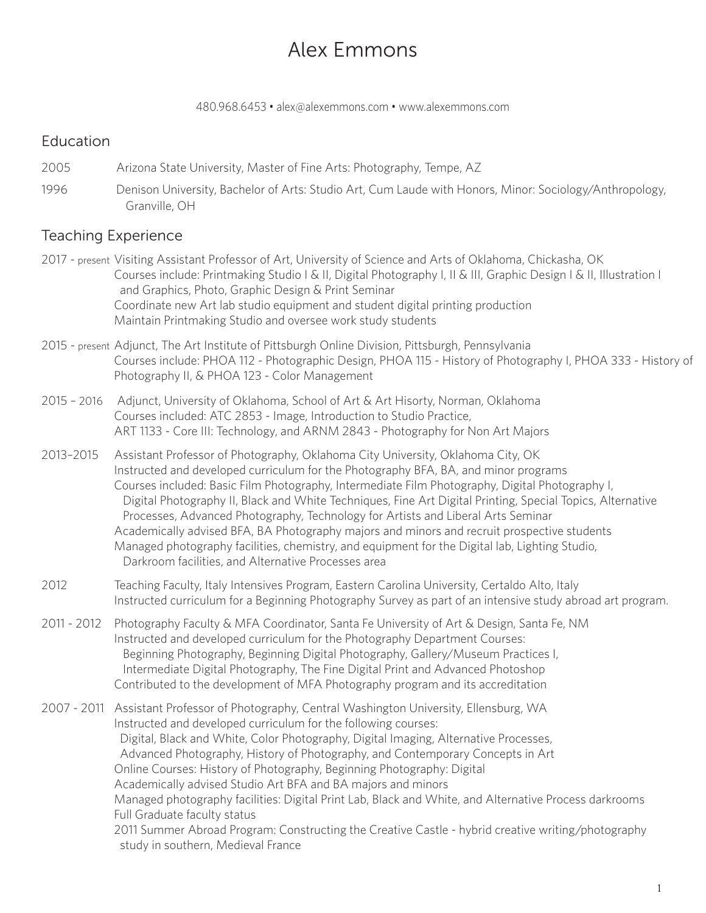# Alex Emmons

480.968.6453 • alex@alexemmons.com • www.alexemmons.com

## Education

- 2005 Arizona State University, Master of Fine Arts: Photography, Tempe, AZ
- 1996 Denison University, Bachelor of Arts: Studio Art, Cum Laude with Honors, Minor: Sociology/Anthropology, Granville, OH

## Teaching Experience

|               | 2017 - present Visiting Assistant Professor of Art, University of Science and Arts of Oklahoma, Chickasha, OK<br>Courses include: Printmaking Studio   & II, Digital Photography I, II & III, Graphic Design   & II, Illustration  <br>and Graphics, Photo, Graphic Design & Print Seminar<br>Coordinate new Art lab studio equipment and student digital printing production<br>Maintain Printmaking Studio and oversee work study students                                                                                                                                                                                                                                                                                                                 |
|---------------|--------------------------------------------------------------------------------------------------------------------------------------------------------------------------------------------------------------------------------------------------------------------------------------------------------------------------------------------------------------------------------------------------------------------------------------------------------------------------------------------------------------------------------------------------------------------------------------------------------------------------------------------------------------------------------------------------------------------------------------------------------------|
|               | 2015 - present Adjunct, The Art Institute of Pittsburgh Online Division, Pittsburgh, Pennsylvania<br>Courses include: PHOA 112 - Photographic Design, PHOA 115 - History of Photography I, PHOA 333 - History of<br>Photography II, & PHOA 123 - Color Management                                                                                                                                                                                                                                                                                                                                                                                                                                                                                            |
| $2015 - 2016$ | Adjunct, University of Oklahoma, School of Art & Art Hisorty, Norman, Oklahoma<br>Courses included: ATC 2853 - Image, Introduction to Studio Practice,<br>ART 1133 - Core III: Technology, and ARNM 2843 - Photography for Non Art Majors                                                                                                                                                                                                                                                                                                                                                                                                                                                                                                                    |
| 2013-2015     | Assistant Professor of Photography, Oklahoma City University, Oklahoma City, OK<br>Instructed and developed curriculum for the Photography BFA, BA, and minor programs<br>Courses included: Basic Film Photography, Intermediate Film Photography, Digital Photography I,<br>Digital Photography II, Black and White Techniques, Fine Art Digital Printing, Special Topics, Alternative<br>Processes, Advanced Photography, Technology for Artists and Liberal Arts Seminar<br>Academically advised BFA, BA Photography majors and minors and recruit prospective students<br>Managed photography facilities, chemistry, and equipment for the Digital lab, Lighting Studio,<br>Darkroom facilities, and Alternative Processes area                          |
| 2012          | Teaching Faculty, Italy Intensives Program, Eastern Carolina University, Certaldo Alto, Italy<br>Instructed curriculum for a Beginning Photography Survey as part of an intensive study abroad art program.                                                                                                                                                                                                                                                                                                                                                                                                                                                                                                                                                  |
| 2011 - 2012   | Photography Faculty & MFA Coordinator, Santa Fe University of Art & Design, Santa Fe, NM<br>Instructed and developed curriculum for the Photography Department Courses:<br>Beginning Photography, Beginning Digital Photography, Gallery/Museum Practices I,<br>Intermediate Digital Photography, The Fine Digital Print and Advanced Photoshop<br>Contributed to the development of MFA Photography program and its accreditation                                                                                                                                                                                                                                                                                                                           |
| $2007 - 2011$ | Assistant Professor of Photography, Central Washington University, Ellensburg, WA<br>Instructed and developed curriculum for the following courses:<br>Digital, Black and White, Color Photography, Digital Imaging, Alternative Processes,<br>Advanced Photography, History of Photography, and Contemporary Concepts in Art<br>Online Courses: History of Photography, Beginning Photography: Digital<br>Academically advised Studio Art BFA and BA majors and minors<br>Managed photography facilities: Digital Print Lab, Black and White, and Alternative Process darkrooms<br>Full Graduate faculty status<br>2011 Summer Abroad Program: Constructing the Creative Castle - hybrid creative writing/photography<br>study in southern, Medieval France |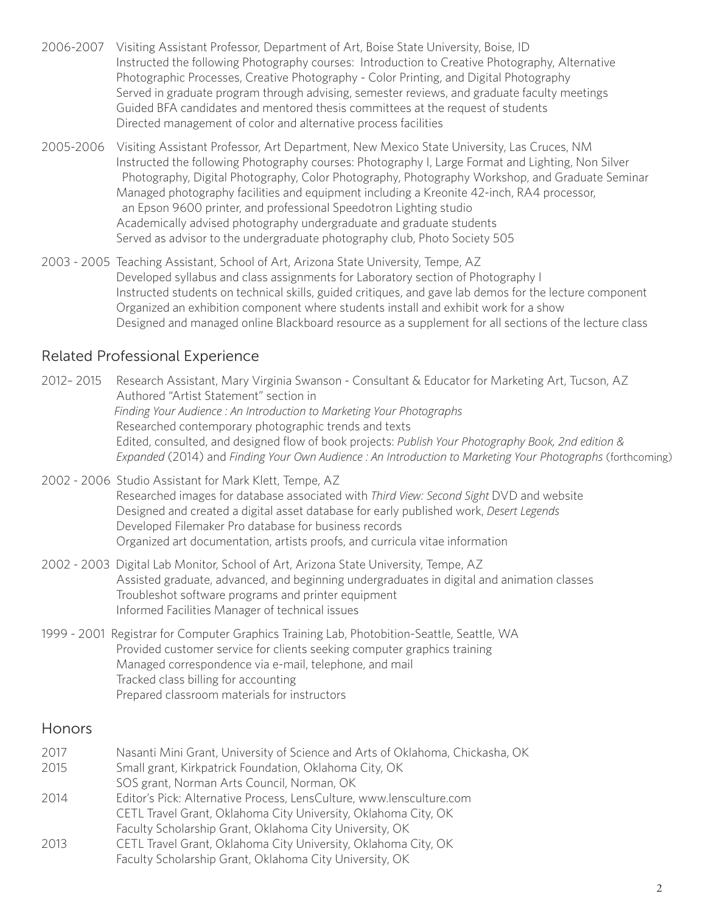- 2006-2007 Visiting Assistant Professor, Department of Art, Boise State University, Boise, ID Instructed the following Photography courses: Introduction to Creative Photography, Alternative Photographic Processes, Creative Photography - Color Printing, and Digital Photography Served in graduate program through advising, semester reviews, and graduate faculty meetings Guided BFA candidates and mentored thesis committees at the request of students Directed management of color and alternative process facilities
- 2005-2006 Visiting Assistant Professor, Art Department, New Mexico State University, Las Cruces, NM Instructed the following Photography courses: Photography I, Large Format and Lighting, Non Silver Photography, Digital Photography, Color Photography, Photography Workshop, and Graduate Seminar Managed photography facilities and equipment including a Kreonite 42-inch, RA4 processor, an Epson 9600 printer, and professional Speedotron Lighting studio Academically advised photography undergraduate and graduate students Served as advisor to the undergraduate photography club, Photo Society 505
- 2003 2005 Teaching Assistant, School of Art, Arizona State University, Tempe, AZ Developed syllabus and class assignments for Laboratory section of Photography I Instructed students on technical skills, guided critiques, and gave lab demos for the lecture component Organized an exhibition component where students install and exhibit work for a show Designed and managed online Blackboard resource as a supplement for all sections of the lecture class

## Related Professional Experience

2012– 2015 Research Assistant, Mary Virginia Swanson - Consultant & Educator for Marketing Art, Tucson, AZ Authored "Artist Statement" section in *Finding Your Audience : An Introduction to Marketing Your Photographs* Researched contemporary photographic trends and texts Edited, consulted, and designed flow of book projects: *Publish Your Photography Book, 2nd edition & Expanded* (2014) and *Finding Your Own Audience : An Introduction to Marketing Your Photographs* (forthcoming)

- 2002 2006 Studio Assistant for Mark Klett, Tempe, AZ Researched images for database associated with *Third View: Second Sight* DVD and website Designed and created a digital asset database for early published work, *Desert Legends* Developed Filemaker Pro database for business records Organized art documentation, artists proofs, and curricula vitae information
- 2002 2003 Digital Lab Monitor, School of Art, Arizona State University, Tempe, AZ Assisted graduate, advanced, and beginning undergraduates in digital and animation classes Troubleshot software programs and printer equipment Informed Facilities Manager of technical issues
- 1999 2001 Registrar for Computer Graphics Training Lab, Photobition-Seattle, Seattle, WA Provided customer service for clients seeking computer graphics training Managed correspondence via e-mail, telephone, and mail Tracked class billing for accounting Prepared classroom materials for instructors

#### Honors

| 2017 | Nasanti Mini Grant, University of Science and Arts of Oklahoma, Chickasha, OK |
|------|-------------------------------------------------------------------------------|
| 2015 | Small grant, Kirkpatrick Foundation, Oklahoma City, OK                        |
|      | SOS grant, Norman Arts Council, Norman, OK                                    |
| 2014 | Editor's Pick: Alternative Process, LensCulture, www.lensculture.com          |
|      | CETL Travel Grant, Oklahoma City University, Oklahoma City, OK                |
|      | Faculty Scholarship Grant, Oklahoma City University, OK                       |
| 2013 | CETL Travel Grant, Oklahoma City University, Oklahoma City, OK                |
|      | Faculty Scholarship Grant, Oklahoma City University, OK                       |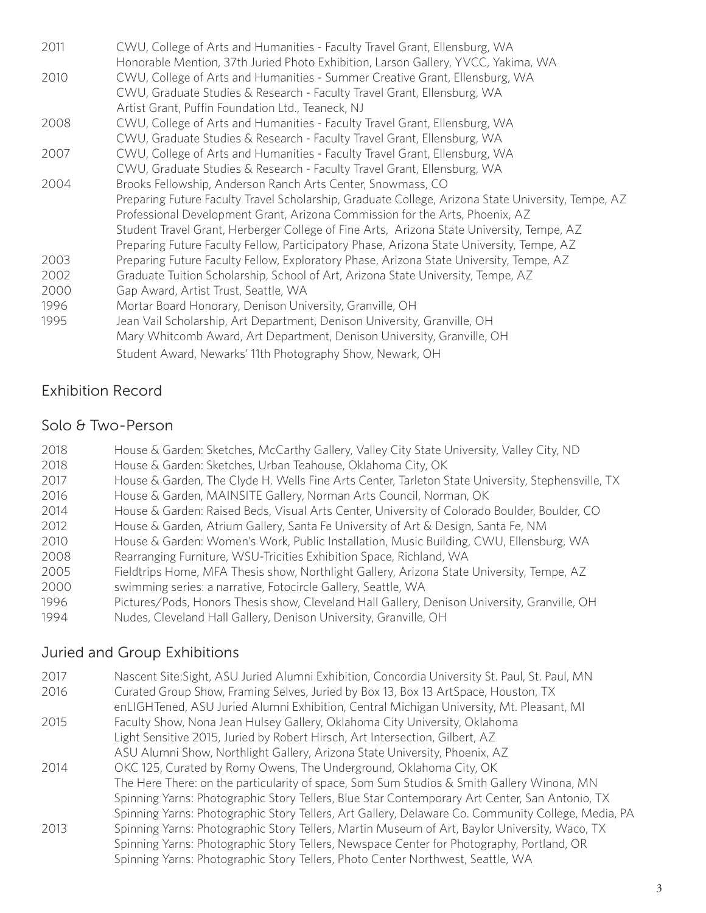| 2011 | CWU, College of Arts and Humanities - Faculty Travel Grant, Ellensburg, WA                         |  |  |
|------|----------------------------------------------------------------------------------------------------|--|--|
|      | Honorable Mention, 37th Juried Photo Exhibition, Larson Gallery, YVCC, Yakima, WA                  |  |  |
| 2010 | CWU, College of Arts and Humanities - Summer Creative Grant, Ellensburg, WA                        |  |  |
|      | CWU, Graduate Studies & Research - Faculty Travel Grant, Ellensburg, WA                            |  |  |
|      | Artist Grant, Puffin Foundation Ltd., Teaneck, NJ                                                  |  |  |
| 2008 | CWU, College of Arts and Humanities - Faculty Travel Grant, Ellensburg, WA                         |  |  |
|      | CWU, Graduate Studies & Research - Faculty Travel Grant, Ellensburg, WA                            |  |  |
| 2007 | CWU, College of Arts and Humanities - Faculty Travel Grant, Ellensburg, WA                         |  |  |
|      | CWU, Graduate Studies & Research - Faculty Travel Grant, Ellensburg, WA                            |  |  |
| 2004 | Brooks Fellowship, Anderson Ranch Arts Center, Snowmass, CO                                        |  |  |
|      | Preparing Future Faculty Travel Scholarship, Graduate College, Arizona State University, Tempe, AZ |  |  |
|      | Professional Development Grant, Arizona Commission for the Arts, Phoenix, AZ                       |  |  |
|      | Student Travel Grant, Herberger College of Fine Arts, Arizona State University, Tempe, AZ          |  |  |
|      | Preparing Future Faculty Fellow, Participatory Phase, Arizona State University, Tempe, AZ          |  |  |
| 2003 | Preparing Future Faculty Fellow, Exploratory Phase, Arizona State University, Tempe, AZ            |  |  |
| 2002 | Graduate Tuition Scholarship, School of Art, Arizona State University, Tempe, AZ                   |  |  |
| 2000 | Gap Award, Artist Trust, Seattle, WA                                                               |  |  |
| 1996 | Mortar Board Honorary, Denison University, Granville, OH                                           |  |  |
| 1995 | Jean Vail Scholarship, Art Department, Denison University, Granville, OH                           |  |  |
|      | Mary Whitcomb Award, Art Department, Denison University, Granville, OH                             |  |  |
|      | Student Award, Newarks' 11th Photography Show, Newark, OH                                          |  |  |

## Exhibition Record

#### Solo & Two-Person

| 2018 | House & Garden: Sketches, McCarthy Gallery, Valley City State University, Valley City, ND         |  |
|------|---------------------------------------------------------------------------------------------------|--|
|      |                                                                                                   |  |
| 2018 | House & Garden: Sketches, Urban Teahouse, Oklahoma City, OK                                       |  |
| 2017 | House & Garden, The Clyde H. Wells Fine Arts Center, Tarleton State University, Stephensville, TX |  |
| 2016 | House & Garden, MAINSITE Gallery, Norman Arts Council, Norman, OK                                 |  |
| 2014 | House & Garden: Raised Beds, Visual Arts Center, University of Colorado Boulder, Boulder, CO      |  |
| 2012 | House & Garden, Atrium Gallery, Santa Fe University of Art & Design, Santa Fe, NM                 |  |
| 2010 | House & Garden: Women's Work, Public Installation, Music Building, CWU, Ellensburg, WA            |  |
| 2008 | Rearranging Furniture, WSU-Tricities Exhibition Space, Richland, WA                               |  |
| 2005 | Fieldtrips Home, MFA Thesis show, Northlight Gallery, Arizona State University, Tempe, AZ         |  |
| 2000 | swimming series: a narrative, Fotocircle Gallery, Seattle, WA                                     |  |
| 1996 | Pictures/Pods, Honors Thesis show, Cleveland Hall Gallery, Denison University, Granville, OH      |  |
| 1994 | Nudes, Cleveland Hall Gallery, Denison University, Granville, OH                                  |  |
|      |                                                                                                   |  |

### Juried and Group Exhibitions

| Nascent Site: Sight, ASU Juried Alumni Exhibition, Concordia University St. Paul, St. Paul, MN |
|------------------------------------------------------------------------------------------------|
| Curated Group Show, Framing Selves, Juried by Box 13, Box 13 ArtSpace, Houston, TX             |
| enLIGHTened, ASU Juried Alumni Exhibition, Central Michigan University, Mt. Pleasant, MI       |
| Faculty Show, Nona Jean Hulsey Gallery, Oklahoma City University, Oklahoma                     |
| Light Sensitive 2015, Juried by Robert Hirsch, Art Intersection, Gilbert, AZ                   |
|                                                                                                |

ASU Alumni Show, Northlight Gallery, Arizona State University, Phoenix, AZ 2014 OKC 125, Curated by Romy Owens, The Underground, Oklahoma City, OK The Here There: on the particularity of space, Som Sum Studios & Smith Gallery Winona, MN Spinning Yarns: Photographic Story Tellers, Blue Star Contemporary Art Center, San Antonio, TX Spinning Yarns: Photographic Story Tellers, Art Gallery, Delaware Co. Community College, Media, PA

2013 Spinning Yarns: Photographic Story Tellers, Martin Museum of Art, Baylor University, Waco, TX Spinning Yarns: Photographic Story Tellers, Newspace Center for Photography, Portland, OR Spinning Yarns: Photographic Story Tellers, Photo Center Northwest, Seattle, WA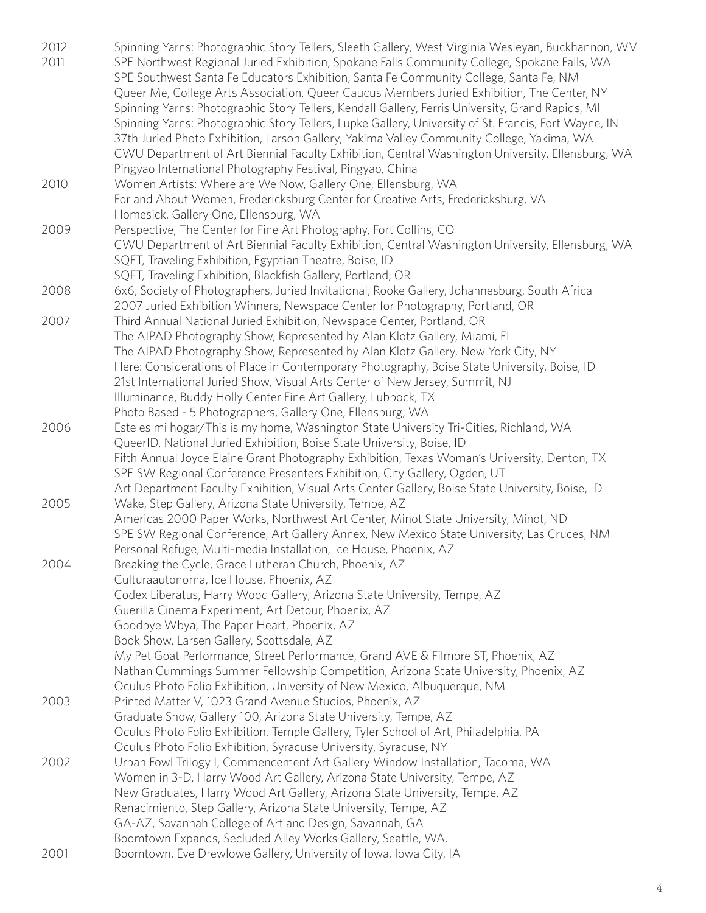| 2012<br>2011 | Spinning Yarns: Photographic Story Tellers, Sleeth Gallery, West Virginia Wesleyan, Buckhannon, WV<br>SPE Northwest Regional Juried Exhibition, Spokane Falls Community College, Spokane Falls, WA<br>SPE Southwest Santa Fe Educators Exhibition, Santa Fe Community College, Santa Fe, NM<br>Queer Me, College Arts Association, Queer Caucus Members Juried Exhibition, The Center, NY<br>Spinning Yarns: Photographic Story Tellers, Kendall Gallery, Ferris University, Grand Rapids, MI<br>Spinning Yarns: Photographic Story Tellers, Lupke Gallery, University of St. Francis, Fort Wayne, IN<br>37th Juried Photo Exhibition, Larson Gallery, Yakima Valley Community College, Yakima, WA<br>CWU Department of Art Biennial Faculty Exhibition, Central Washington University, Ellensburg, WA |
|--------------|--------------------------------------------------------------------------------------------------------------------------------------------------------------------------------------------------------------------------------------------------------------------------------------------------------------------------------------------------------------------------------------------------------------------------------------------------------------------------------------------------------------------------------------------------------------------------------------------------------------------------------------------------------------------------------------------------------------------------------------------------------------------------------------------------------|
|              | Pingyao International Photography Festival, Pingyao, China                                                                                                                                                                                                                                                                                                                                                                                                                                                                                                                                                                                                                                                                                                                                             |
| 2010         | Women Artists: Where are We Now, Gallery One, Ellensburg, WA<br>For and About Women, Fredericksburg Center for Creative Arts, Fredericksburg, VA                                                                                                                                                                                                                                                                                                                                                                                                                                                                                                                                                                                                                                                       |
|              | Homesick, Gallery One, Ellensburg, WA                                                                                                                                                                                                                                                                                                                                                                                                                                                                                                                                                                                                                                                                                                                                                                  |
| 2009         | Perspective, The Center for Fine Art Photography, Fort Collins, CO<br>CWU Department of Art Biennial Faculty Exhibition, Central Washington University, Ellensburg, WA<br>SQFT, Traveling Exhibition, Egyptian Theatre, Boise, ID<br>SQFT, Traveling Exhibition, Blackfish Gallery, Portland, OR                                                                                                                                                                                                                                                                                                                                                                                                                                                                                                       |
| 2008         | 6x6, Society of Photographers, Juried Invitational, Rooke Gallery, Johannesburg, South Africa<br>2007 Juried Exhibition Winners, Newspace Center for Photography, Portland, OR                                                                                                                                                                                                                                                                                                                                                                                                                                                                                                                                                                                                                         |
| 2007         | Third Annual National Juried Exhibition, Newspace Center, Portland, OR<br>The AIPAD Photography Show, Represented by Alan Klotz Gallery, Miami, FL<br>The AIPAD Photography Show, Represented by Alan Klotz Gallery, New York City, NY<br>Here: Considerations of Place in Contemporary Photography, Boise State University, Boise, ID<br>21st International Juried Show, Visual Arts Center of New Jersey, Summit, NJ<br>Illuminance, Buddy Holly Center Fine Art Gallery, Lubbock, TX<br>Photo Based - 5 Photographers, Gallery One, Ellensburg, WA                                                                                                                                                                                                                                                  |
| 2006         | Este es mi hogar/This is my home, Washington State University Tri-Cities, Richland, WA<br>QueerID, National Juried Exhibition, Boise State University, Boise, ID<br>Fifth Annual Joyce Elaine Grant Photography Exhibition, Texas Woman's University, Denton, TX<br>SPE SW Regional Conference Presenters Exhibition, City Gallery, Ogden, UT<br>Art Department Faculty Exhibition, Visual Arts Center Gallery, Boise State University, Boise, ID                                                                                                                                                                                                                                                                                                                                                      |
| 2005         | Wake, Step Gallery, Arizona State University, Tempe, AZ<br>Americas 2000 Paper Works, Northwest Art Center, Minot State University, Minot, ND<br>SPE SW Regional Conference, Art Gallery Annex, New Mexico State University, Las Cruces, NM<br>Personal Refuge, Multi-media Installation, Ice House, Phoenix, AZ                                                                                                                                                                                                                                                                                                                                                                                                                                                                                       |
| 2004         | Breaking the Cycle, Grace Lutheran Church, Phoenix, AZ<br>Culturaautonoma, Ice House, Phoenix, AZ<br>Codex Liberatus, Harry Wood Gallery, Arizona State University, Tempe, AZ<br>Guerilla Cinema Experiment, Art Detour, Phoenix, AZ<br>Goodbye Wbya, The Paper Heart, Phoenix, AZ<br>Book Show, Larsen Gallery, Scottsdale, AZ<br>My Pet Goat Performance, Street Performance, Grand AVE & Filmore ST, Phoenix, AZ<br>Nathan Cummings Summer Fellowship Competition, Arizona State University, Phoenix, AZ<br>Oculus Photo Folio Exhibition, University of New Mexico, Albuquerque, NM                                                                                                                                                                                                                |
| 2003         | Printed Matter V, 1023 Grand Avenue Studios, Phoenix, AZ<br>Graduate Show, Gallery 100, Arizona State University, Tempe, AZ<br>Oculus Photo Folio Exhibition, Temple Gallery, Tyler School of Art, Philadelphia, PA<br>Oculus Photo Folio Exhibition, Syracuse University, Syracuse, NY                                                                                                                                                                                                                                                                                                                                                                                                                                                                                                                |
| 2002         | Urban Fowl Trilogy I, Commencement Art Gallery Window Installation, Tacoma, WA<br>Women in 3-D, Harry Wood Art Gallery, Arizona State University, Tempe, AZ<br>New Graduates, Harry Wood Art Gallery, Arizona State University, Tempe, AZ<br>Renacimiento, Step Gallery, Arizona State University, Tempe, AZ<br>GA-AZ, Savannah College of Art and Design, Savannah, GA<br>Boomtown Expands, Secluded Alley Works Gallery, Seattle, WA.                                                                                                                                                                                                                                                                                                                                                                |
| 2001         | Boomtown, Eve Drewlowe Gallery, University of Iowa, Iowa City, IA                                                                                                                                                                                                                                                                                                                                                                                                                                                                                                                                                                                                                                                                                                                                      |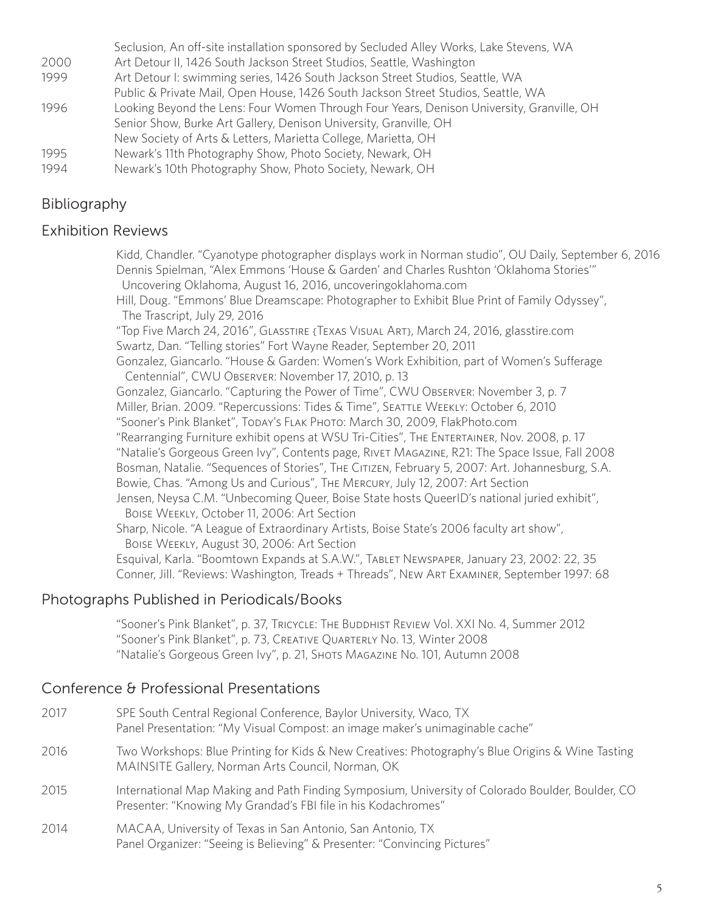|      | Seclusion, An off-site installation sponsored by Secluded Alley Works, Lake Stevens, WA   |
|------|-------------------------------------------------------------------------------------------|
| 2000 | Art Detour II, 1426 South Jackson Street Studios, Seattle, Washington                     |
| 1999 | Art Detour I: swimming series, 1426 South Jackson Street Studios, Seattle, WA             |
|      | Public & Private Mail, Open House, 1426 South Jackson Street Studios, Seattle, WA         |
| 1996 | Looking Beyond the Lens: Four Women Through Four Years, Denison University, Granville, OH |
|      | Senior Show, Burke Art Gallery, Denison University, Granville, OH                         |
|      | New Society of Arts & Letters, Marietta College, Marietta, OH                             |
| 1995 | Newark's 11th Photography Show, Photo Society, Newark, OH                                 |
| 1994 | Newark's 10th Photography Show, Photo Society, Newark, OH                                 |

## Bibliography

#### Exhibition Reviews

Kidd, Chandler. "Cyanotype photographer displays work in Norman studio", OU Daily, September 6, 2016 Dennis Spielman, "Alex Emmons 'House & Garden' and Charles Rushton 'Oklahoma Stories'" Uncovering Oklahoma, August 16, 2016, uncoveringoklahoma.com Hill, Doug. "Emmons' Blue Dreamscape: Photographer to Exhibit Blue Print of Family Odyssey", The Trascript, July 29, 2016 "Top Five March 24, 2016", Glasstire {Texas Visual Art}, March 24, 2016, glasstire.com Swartz, Dan. "Telling stories" Fort Wayne Reader, September 20, 2011 Gonzalez, Giancarlo. "House & Garden: Women's Work Exhibition, part of Women's Sufferage Centennial", CWU Observer: November 17, 2010, p. 13 Gonzalez, Giancarlo. "Capturing the Power of Time", CWU Observer: November 3, p. 7 Miller, Brian. 2009. "Repercussions: Tides & Time", Seattle Weekly: October 6, 2010 "Sooner's Pink Blanket", Today's Flak Photo: March 30, 2009, FlakPhoto.com "Rearranging Furniture exhibit opens at WSU Tri-Cities", The Entertainer, Nov. 2008, p. 17 "Natalie's Gorgeous Green Ivy", Contents page, Rivet Magazine, R21: The Space Issue, Fall 2008 Bosman, Natalie. "Sequences of Stories", The CITIZEN, February 5, 2007: Art. Johannesburg, S.A. Bowie, Chas. "Among Us and Curious", The Mercury, July 12, 2007: Art Section Jensen, Neysa C.M. "Unbecoming Queer, Boise State hosts QueerID's national juried exhibit", Boise Weekly, October 11, 2006: Art Section Sharp, Nicole. "A League of Extraordinary Artists, Boise State's 2006 faculty art show", Boise Weekly, August 30, 2006: Art Section Esquival, Karla. "Boomtown Expands at S.A.W.", Tablet Newspaper, January 23, 2002: 22, 35 Conner, Jill. "Reviews: Washington, Treads + Threads", New Art Examiner, September 1997: 68 Photographs Published in Periodicals/Books

> "Sooner's Pink Blanket", p. 37, Tricycle: The Buddhist Review Vol. XXI No. 4, Summer 2012 "Sooner's Pink Blanket", p. 73, Creative Quarterly No. 13, Winter 2008 "Natalie's Gorgeous Green Ivy", p. 21, Shots Magazine No. 101, Autumn 2008

#### Conference & Professional Presentations

| 2017 | SPE South Central Regional Conference, Baylor University, Waco, TX<br>Panel Presentation: "My Visual Compost: an image maker's unimaginable cache"                |
|------|-------------------------------------------------------------------------------------------------------------------------------------------------------------------|
| 2016 | Two Workshops: Blue Printing for Kids & New Creatives: Photography's Blue Origins & Wine Tasting<br>MAINSITE Gallery, Norman Arts Council, Norman, OK             |
| 2015 | International Map Making and Path Finding Symposium, University of Colorado Boulder, Boulder, CO<br>Presenter: "Knowing My Grandad's FBI file in his Kodachromes" |
| 2014 | MACAA, University of Texas in San Antonio, San Antonio, TX<br>Panel Organizer: "Seeing is Believing" & Presenter: "Convincing Pictures"                           |

5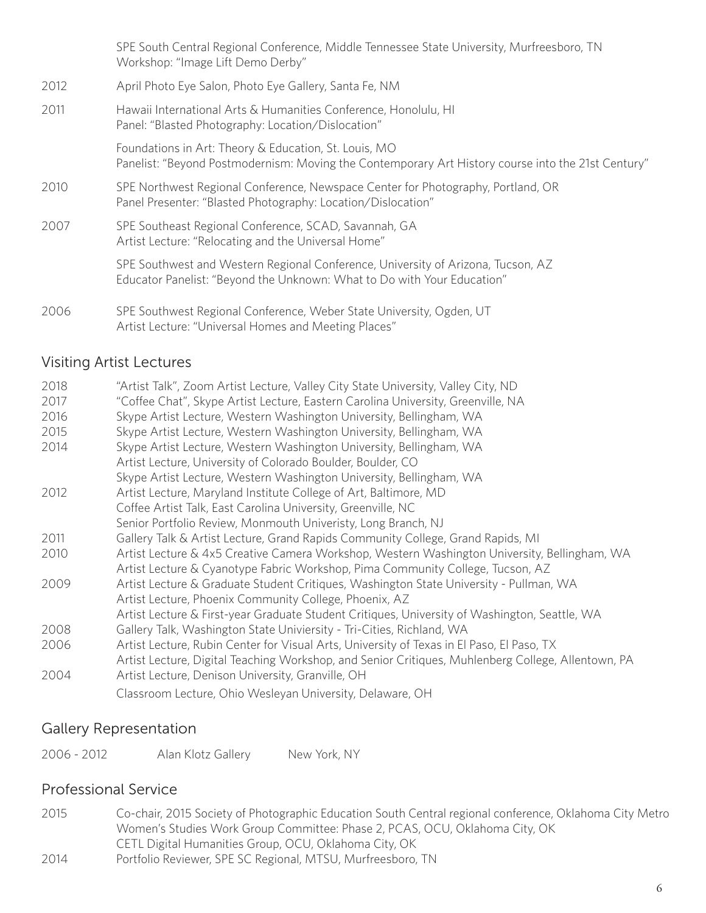|      | SPE South Central Regional Conference, Middle Tennessee State University, Murfreesboro, TN<br>Workshop: "Image Lift Demo Derby"                             |
|------|-------------------------------------------------------------------------------------------------------------------------------------------------------------|
| 2012 | April Photo Eye Salon, Photo Eye Gallery, Santa Fe, NM                                                                                                      |
| 2011 | Hawaii International Arts & Humanities Conference, Honolulu, HI<br>Panel: "Blasted Photography: Location/Dislocation"                                       |
|      | Foundations in Art: Theory & Education, St. Louis, MO<br>Panelist: "Beyond Postmodernism: Moving the Contemporary Art History course into the 21st Century" |
| 2010 | SPE Northwest Regional Conference, Newspace Center for Photography, Portland, OR<br>Panel Presenter: "Blasted Photography: Location/Dislocation"            |
| 2007 | SPE Southeast Regional Conference, SCAD, Savannah, GA<br>Artist Lecture: "Relocating and the Universal Home"                                                |
|      | SPE Southwest and Western Regional Conference, University of Arizona, Tucson, AZ<br>Educator Panelist: "Beyond the Unknown: What to Do with Your Education" |
| 2006 | SPE Southwest Regional Conference, Weber State University, Ogden, UT<br>Artist Lecture: "Universal Homes and Meeting Places"                                |

#### Visiting Artist Lectures

| 2018 | "Artist Talk", Zoom Artist Lecture, Valley City State University, Valley City, ND                  |  |
|------|----------------------------------------------------------------------------------------------------|--|
| 2017 | "Coffee Chat", Skype Artist Lecture, Eastern Carolina University, Greenville, NA                   |  |
| 2016 | Skype Artist Lecture, Western Washington University, Bellingham, WA                                |  |
| 2015 | Skype Artist Lecture, Western Washington University, Bellingham, WA                                |  |
| 2014 | Skype Artist Lecture, Western Washington University, Bellingham, WA                                |  |
|      | Artist Lecture, University of Colorado Boulder, Boulder, CO                                        |  |
|      | Skype Artist Lecture, Western Washington University, Bellingham, WA                                |  |
| 2012 | Artist Lecture, Maryland Institute College of Art, Baltimore, MD                                   |  |
|      | Coffee Artist Talk, East Carolina University, Greenville, NC                                       |  |
|      | Senior Portfolio Review, Monmouth Univeristy, Long Branch, NJ                                      |  |
| 2011 | Gallery Talk & Artist Lecture, Grand Rapids Community College, Grand Rapids, MI                    |  |
| 2010 | Artist Lecture & 4x5 Creative Camera Workshop, Western Washington University, Bellingham, WA       |  |
|      | Artist Lecture & Cyanotype Fabric Workshop, Pima Community College, Tucson, AZ                     |  |
| 2009 | Artist Lecture & Graduate Student Critiques, Washington State University - Pullman, WA             |  |
|      | Artist Lecture, Phoenix Community College, Phoenix, AZ                                             |  |
|      | Artist Lecture & First-year Graduate Student Critiques, University of Washington, Seattle, WA      |  |
| 2008 | Gallery Talk, Washington State Univiersity - Tri-Cities, Richland, WA                              |  |
| 2006 | Artist Lecture, Rubin Center for Visual Arts, University of Texas in El Paso, El Paso, TX          |  |
|      | Artist Lecture, Digital Teaching Workshop, and Senior Critiques, Muhlenberg College, Allentown, PA |  |
| 2004 | Artist Lecture, Denison University, Granville, OH                                                  |  |
|      | Classroom Lecture, Ohio Wesleyan University, Delaware, OH                                          |  |

#### Gallery Representation

2006 - 2012 Alan Klotz Gallery New York, NY

## Professional Service

2015 Co-chair, 2015 Society of Photographic Education South Central regional conference, Oklahoma City Metro Women's Studies Work Group Committee: Phase 2, PCAS, OCU, Oklahoma City, OK CETL Digital Humanities Group, OCU, Oklahoma City, OK 2014 Portfolio Reviewer, SPE SC Regional, MTSU, Murfreesboro, TN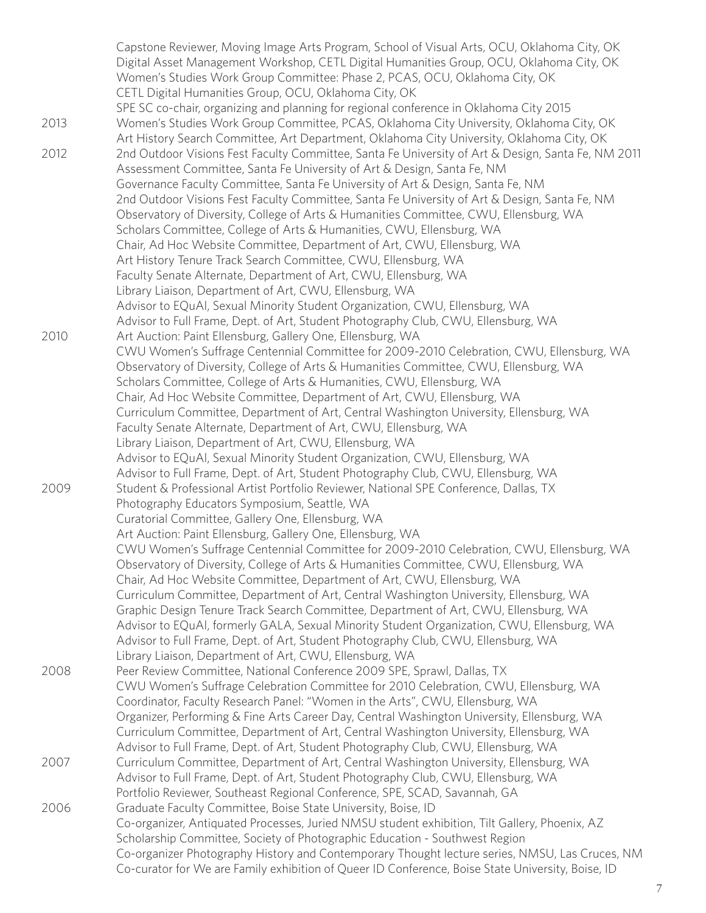Capstone Reviewer, Moving Image Arts Program, School of Visual Arts, OCU, Oklahoma City, OK Digital Asset Management Workshop, CETL Digital Humanities Group, OCU, Oklahoma City, OK Women's Studies Work Group Committee: Phase 2, PCAS, OCU, Oklahoma City, OK CETL Digital Humanities Group, OCU, Oklahoma City, OK SPE SC co-chair, organizing and planning for regional conference in Oklahoma City 2015 2013 Women's Studies Work Group Committee, PCAS, Oklahoma City University, Oklahoma City, OK Art History Search Committee, Art Department, Oklahoma City University, Oklahoma City, OK 2012 2nd Outdoor Visions Fest Faculty Committee, Santa Fe University of Art & Design, Santa Fe, NM 2011 Assessment Committee, Santa Fe University of Art & Design, Santa Fe, NM Governance Faculty Committee, Santa Fe University of Art & Design, Santa Fe, NM 2nd Outdoor Visions Fest Faculty Committee, Santa Fe University of Art & Design, Santa Fe, NM Observatory of Diversity, College of Arts & Humanities Committee, CWU, Ellensburg, WA Scholars Committee, College of Arts & Humanities, CWU, Ellensburg, WA Chair, Ad Hoc Website Committee, Department of Art, CWU, Ellensburg, WA Art History Tenure Track Search Committee, CWU, Ellensburg, WA Faculty Senate Alternate, Department of Art, CWU, Ellensburg, WA Library Liaison, Department of Art, CWU, Ellensburg, WA Advisor to EQuAl, Sexual Minority Student Organization, CWU, Ellensburg, WA Advisor to Full Frame, Dept. of Art, Student Photography Club, CWU, Ellensburg, WA 2010 Art Auction: Paint Ellensburg, Gallery One, Ellensburg, WA CWU Women's Suffrage Centennial Committee for 2009-2010 Celebration, CWU, Ellensburg, WA Observatory of Diversity, College of Arts & Humanities Committee, CWU, Ellensburg, WA Scholars Committee, College of Arts & Humanities, CWU, Ellensburg, WA Chair, Ad Hoc Website Committee, Department of Art, CWU, Ellensburg, WA Curriculum Committee, Department of Art, Central Washington University, Ellensburg, WA Faculty Senate Alternate, Department of Art, CWU, Ellensburg, WA Library Liaison, Department of Art, CWU, Ellensburg, WA Advisor to EQuAl, Sexual Minority Student Organization, CWU, Ellensburg, WA Advisor to Full Frame, Dept. of Art, Student Photography Club, CWU, Ellensburg, WA 2009 Student & Professional Artist Portfolio Reviewer, National SPE Conference, Dallas, TX Photography Educators Symposium, Seattle, WA Curatorial Committee, Gallery One, Ellensburg, WA Art Auction: Paint Ellensburg, Gallery One, Ellensburg, WA CWU Women's Suffrage Centennial Committee for 2009-2010 Celebration, CWU, Ellensburg, WA Observatory of Diversity, College of Arts & Humanities Committee, CWU, Ellensburg, WA Chair, Ad Hoc Website Committee, Department of Art, CWU, Ellensburg, WA Curriculum Committee, Department of Art, Central Washington University, Ellensburg, WA Graphic Design Tenure Track Search Committee, Department of Art, CWU, Ellensburg, WA Advisor to EQuAl, formerly GALA, Sexual Minority Student Organization, CWU, Ellensburg, WA Advisor to Full Frame, Dept. of Art, Student Photography Club, CWU, Ellensburg, WA Library Liaison, Department of Art, CWU, Ellensburg, WA 2008 Peer Review Committee, National Conference 2009 SPE, Sprawl, Dallas, TX CWU Women's Suffrage Celebration Committee for 2010 Celebration, CWU, Ellensburg, WA Coordinator, Faculty Research Panel: "Women in the Arts", CWU, Ellensburg, WA Organizer, Performing & Fine Arts Career Day, Central Washington University, Ellensburg, WA Curriculum Committee, Department of Art, Central Washington University, Ellensburg, WA Advisor to Full Frame, Dept. of Art, Student Photography Club, CWU, Ellensburg, WA 2007 Curriculum Committee, Department of Art, Central Washington University, Ellensburg, WA Advisor to Full Frame, Dept. of Art, Student Photography Club, CWU, Ellensburg, WA Portfolio Reviewer, Southeast Regional Conference, SPE, SCAD, Savannah, GA 2006 Graduate Faculty Committee, Boise State University, Boise, ID Co-organizer, Antiquated Processes, Juried NMSU student exhibition, Tilt Gallery, Phoenix, AZ Scholarship Committee, Society of Photographic Education - Southwest Region Co-organizer Photography History and Contemporary Thought lecture series, NMSU, Las Cruces, NM Co-curator for We are Family exhibition of Queer ID Conference, Boise State University, Boise, ID